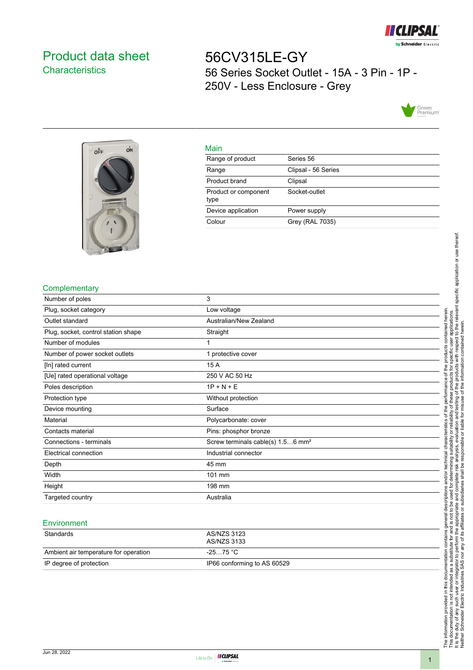

# <span id="page-0-0"></span>Product data sheet **Characteristics**

56CV315LE-GY 56 Series Socket Outlet - 15A - 3 Pin - 1P - 250V - Less Enclosure - Grey





#### Main

| . <u>.</u> .                 |                     |
|------------------------------|---------------------|
| Range of product             | Series 56           |
| Range                        | Clipsal - 56 Series |
| Product brand                | Clipsal             |
| Product or component<br>type | Socket-outlet       |
| Device application           | Power supply        |
| Colour                       | Grey (RAL 7035)     |

## **Complementary**

| Number of poles                     | 3                                             |
|-------------------------------------|-----------------------------------------------|
| Plug, socket category               | Low voltage                                   |
| Outlet standard                     | Australian/New Zealand                        |
| Plug, socket, control station shape | Straight                                      |
| Number of modules                   |                                               |
| Number of power socket outlets      | 1 protective cover                            |
| [In] rated current                  | 15 A                                          |
| [Ue] rated operational voltage      | 250 V AC 50 Hz                                |
| Poles description                   | $1P + N + E$                                  |
| Protection type                     | Without protection                            |
| Device mounting                     | Surface                                       |
| Material                            | Polycarbonate: cover                          |
| Contacts material                   | Pins: phosphor bronze                         |
| Connections - terminals             | Screw terminals cable(s) 1.56 mm <sup>2</sup> |
| Electrical connection               | Industrial connector                          |
| Depth                               | 45 mm                                         |
| Width                               | 101 mm                                        |
| Height                              | 198 mm                                        |
| Targeted country                    | Australia                                     |

#### **Environment**

| Standards                             | AS/NZS 3123<br>AS/NZS 3133  |
|---------------------------------------|-----------------------------|
| Ambient air temperature for operation | -25…75 °C                   |
| IP degree of protection               | IP66 conforming to AS 60529 |